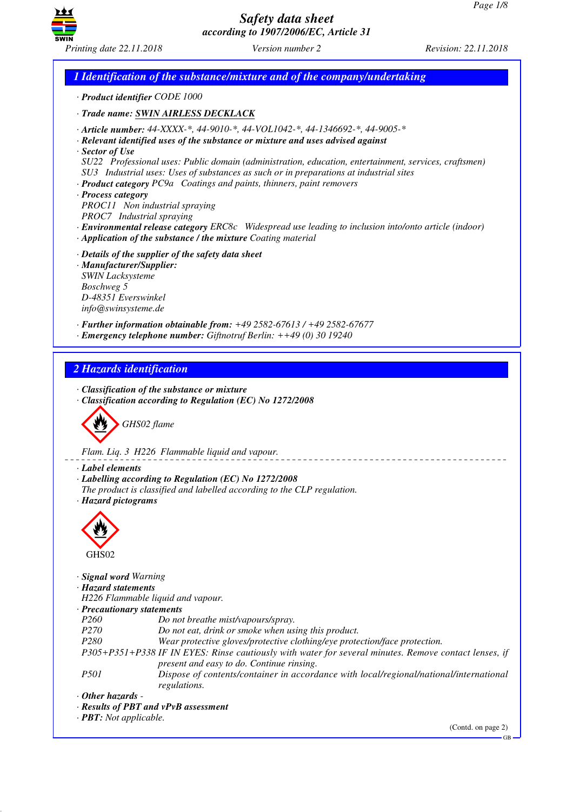GB



# *Safety data sheet according to 1907/2006/EC, Article 31*

*Printing date 22.11.2018 Version number 2 Revision: 22.11.2018*

# *1 Identification of the substance/mixture and of the company/undertaking · Product identifier CODE 1000 · Trade name: SWIN AIRLESS DECKLACK · Article number: 44-XXXX-\*, 44-9010-\*, 44-VOL1042-\*, 44-1346692-\*, 44-9005-\* · Relevant identified uses of the substance or mixture and uses advised against · Sector of Use SU22 Professional uses: Public domain (administration, education, entertainment, services, craftsmen) SU3 Industrial uses: Uses of substances as such or in preparations at industrial sites · Product category PC9a Coatings and paints, thinners, paint removers · Process category PROC11 Non industrial spraying PROC7 Industrial spraying · Environmental release category ERC8c Widespread use leading to inclusion into/onto article (indoor) · Application of the substance / the mixture Coating material · Details of the supplier of the safety data sheet · Manufacturer/Supplier: SWIN Lacksysteme Boschweg 5 D-48351 Everswinkel info@swinsysteme.de · Further information obtainable from: +49 2582-67613 / +49 2582-67677 · Emergency telephone number: Giftnotruf Berlin: ++49 (0) 30 19240 2 Hazards identification · Classification of the substance or mixture · Classification according to Regulation (EC) No 1272/2008* d~*GHS02 flame Flam. Liq. 3 H226 Flammable liquid and vapour. · Label elements · Labelling according to Regulation (EC) No 1272/2008 The product is classified and labelled according to the CLP regulation. · Hazard pictograms* < GHS02 *· Signal word Warning · Hazard statements H226 Flammable liquid and vapour. · Precautionary statements P260 Do not breathe mist/vapours/spray. P270 Do not eat, drink or smoke when using this product. P280 Wear protective gloves/protective clothing/eye protection/face protection. P305+P351+P338 IF IN EYES: Rinse cautiously with water for several minutes. Remove contact lenses, if present and easy to do. Continue rinsing. P501 Dispose of contents/container in accordance with local/regional/national/international regulations. · Other hazards - · Results of PBT and vPvB assessment · PBT: Not applicable.* (Contd. on page 2)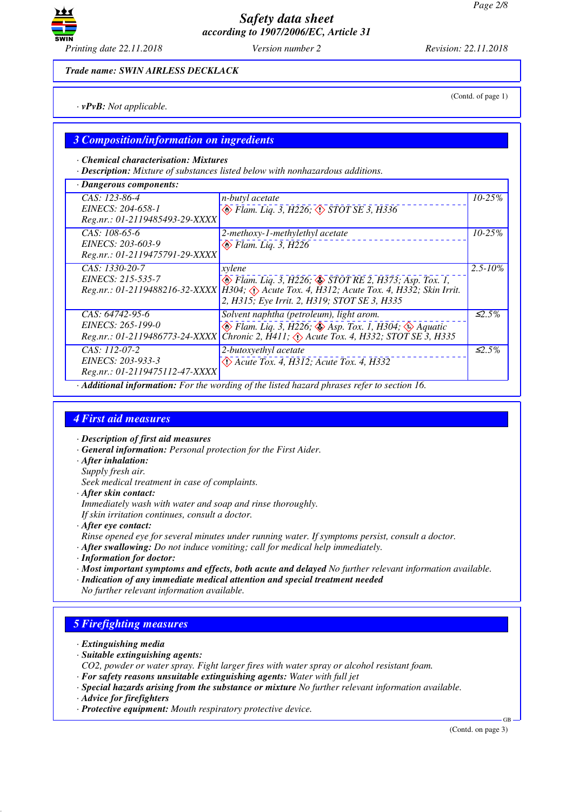

*Trade name: SWIN AIRLESS DECKLACK*

*· vPvB: Not applicable.*

### *3 Composition/information on ingredients*

*· Chemical characterisation: Mixtures*

*· Description: Mixture of substances listed below with nonhazardous additions.*

| · Dangerous components:                                                                     |                                                                                                                                                                                                             |              |  |
|---------------------------------------------------------------------------------------------|-------------------------------------------------------------------------------------------------------------------------------------------------------------------------------------------------------------|--------------|--|
| CAS: 123-86-4<br>EINECS: 204-658-1<br>Reg.nr.: 01-2119485493-29-XXXX                        | n-butyl acetate<br>Elam. Liq. 3, H226; $\diamond$ STOT SE 3, H336                                                                                                                                           | $10 - 25%$   |  |
| $CAS: 108-65-6$<br>EINECS: 203-603-9<br>Reg.nr.: 01-2119475791-29-XXXX                      | 2-methoxy-1-methylethyl acetate<br>$\otimes$ Flam. Liq. 3, H226                                                                                                                                             | $10 - 25%$   |  |
| CAS: 1330-20-7<br>EINECS: 215-535-7                                                         | xylene<br>Elam. Liq. 3, H226; STOT RE 2, H373; Asp. Tox. 1,<br>Reg.nr.: 01-2119488216-32-XXXX H304; Acute Tox. 4, H312; Acute Tox. 4, H332; Skin Irrit.<br>2, H315; Eye Irrit. 2, H319; STOT SE 3, H335     | $2.5 - 10\%$ |  |
| $CAS: 64742-95-6$<br>EINECS: 265-199-0<br>Reg.nr.: 01-2119486773-24-XXXX                    | Solvent naphtha (petroleum), light arom.<br>$\otimes$ Flam. Liq. 3, H226; $\otimes$ Asp. Tox. 1, H304; $\otimes$ Aquatic<br>Chronic 2, $\bar{H}$ 411; $\langle \rangle$ Acute Tox. 4, H332; STOT SE 3, H335 | $\leq 2.5\%$ |  |
| CAS: 112-07-2<br>EINECS: 203-933-3<br>Reg.nr.: 01-2119475112-47-XXXX                        | 2-butoxyethyl acetate<br>$\Diamond$ Acute Tox. 4, H312; Acute Tox. 4, H332                                                                                                                                  | $\leq 2.5\%$ |  |
| · Additional information: For the wording of the listed hazard phrases refer to section 16. |                                                                                                                                                                                                             |              |  |

## *4 First aid measures*

- *· Description of first aid measures*
- *· General information: Personal protection for the First Aider.*
- *· After inhalation:*
- *Supply fresh air.*

*Seek medical treatment in case of complaints.*

*· After skin contact:*

*Immediately wash with water and soap and rinse thoroughly.*

*If skin irritation continues, consult a doctor.*

- *· After eye contact:*
- *Rinse opened eye for several minutes under running water. If symptoms persist, consult a doctor.*
- *· After swallowing: Do not induce vomiting; call for medical help immediately.*
- *· Information for doctor:*
- *· Most important symptoms and effects, both acute and delayed No further relevant information available.*
- *· Indication of any immediate medical attention and special treatment needed*
- *No further relevant information available.*

# *5 Firefighting measures*

- *· Extinguishing media*
- *· Suitable extinguishing agents:*
- *CO2, powder or water spray. Fight larger fires with water spray or alcohol resistant foam.*
- *· For safety reasons unsuitable extinguishing agents: Water with full jet*
- *· Special hazards arising from the substance or mixture No further relevant information available.*
- *· Advice for firefighters*
- *· Protective equipment: Mouth respiratory protective device.*

(Contd. on page 3)

GB

(Contd. of page 1)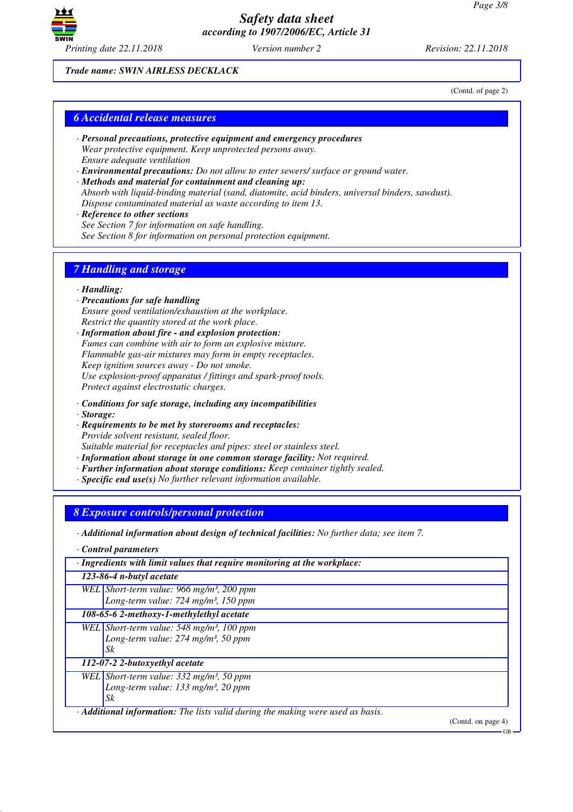

*Trade name: SWIN AIRLESS DECKLACK*

(Contd. of page 2)

### *6 Accidental release measures*

- *· Personal precautions, protective equipment and emergency procedures Wear protective equipment. Keep unprotected persons away. Ensure adequate ventilation*
- *· Environmental precautions: Do not allow to enter sewers/ surface or ground water.*
- *· Methods and material for containment and cleaning up: Absorb with liquid-binding material (sand, diatomite, acid binders, universal binders, sawdust). Dispose contaminated material as waste according to item 13.*
- *· Reference to other sections See Section 7 for information on safe handling. See Section 8 for information on personal protection equipment.*

## *7 Handling and storage*

*· Handling:*

- *· Precautions for safe handling Ensure good ventilation/exhaustion at the workplace. Restrict the quantity stored at the work place.*
- *· Information about fire and explosion protection: Fumes can combine with air to form an explosive mixture. Flammable gas-air mixtures may form in empty receptacles. Keep ignition sources away - Do not smoke. Use explosion-proof apparatus / fittings and spark-proof tools. Protect against electrostatic charges.*
- *· Conditions for safe storage, including any incompatibilities*
- *· Storage:*
- *· Requirements to be met by storerooms and receptacles: Provide solvent resistant, sealed floor. Suitable material for receptacles and pipes: steel or stainless steel.*
- *· Information about storage in one common storage facility: Not required.*
- *· Further information about storage conditions: Keep container tightly sealed.*
- *· Specific end use(s) No further relevant information available.*

*8 Exposure controls/personal protection*

*· Additional information about design of technical facilities: No further data; see item 7.*

*· Control parameters*

| · Ingredients with limit values that require monitoring at the workplace:                                                              |                                                                                                                    |  |  |  |
|----------------------------------------------------------------------------------------------------------------------------------------|--------------------------------------------------------------------------------------------------------------------|--|--|--|
| 123-86-4 n-butyl acetate                                                                                                               |                                                                                                                    |  |  |  |
|                                                                                                                                        | WEL Short-term value: 966 mg/m <sup>3</sup> , 200 ppm<br>Long-term value: $724$ mg/m <sup>3</sup> , 150 ppm        |  |  |  |
|                                                                                                                                        | 108-65-6 2-methoxy-1-methylethyl acetate                                                                           |  |  |  |
|                                                                                                                                        | WEL Short-term value: $548$ mg/m <sup>3</sup> , 100 ppm<br>Long-term value: $274$ mg/m <sup>3</sup> , 50 ppm<br>Sk |  |  |  |
| 112-07-2 2-butoxyethyl acetate                                                                                                         |                                                                                                                    |  |  |  |
|                                                                                                                                        | WEL Short-term value: $332 \text{ mg/m}^3$ , 50 ppm<br>Long-term value: $133$ mg/m <sup>3</sup> , 20 ppm<br>Sk     |  |  |  |
| $\cdot$ <b>Additional information:</b> The lists valid during the making were used as basis.<br>$(C_{\text{out}}\lambda_{\text{out}})$ |                                                                                                                    |  |  |  |

(Contd. on page

GB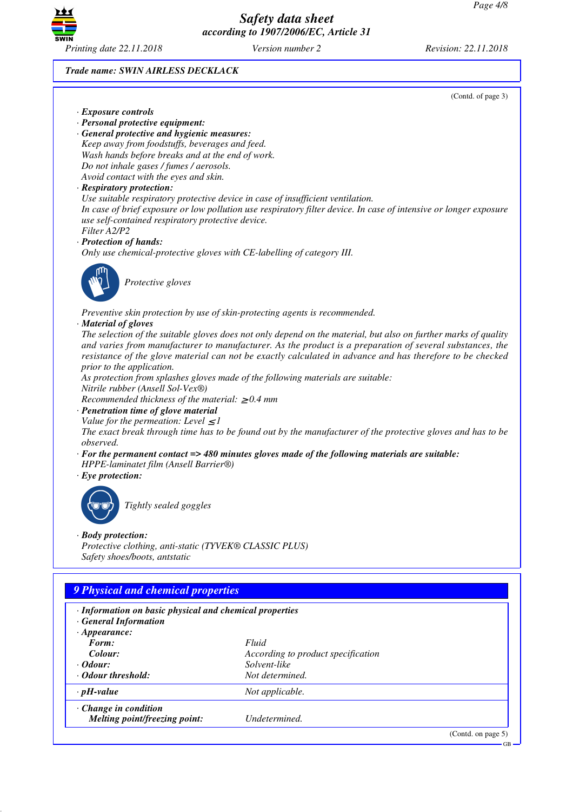

*Trade name: SWIN AIRLESS DECKLACK*

(Contd. of page 3)

- *· Exposure controls*
- *· Personal protective equipment:*
- *· General protective and hygienic measures: Keep away from foodstuffs, beverages and feed. Wash hands before breaks and at the end of work. Do not inhale gases / fumes / aerosols. Avoid contact with the eyes and skin.*

### *· Respiratory protection:*

*Use suitable respiratory protective device in case of insufficient ventilation.*

*In case of brief exposure or low pollution use respiratory filter device. In case of intensive or longer exposure use self-contained respiratory protective device.*

### *Filter A2/P2*

*· Protection of hands:*

*Only use chemical-protective gloves with CE-labelling of category III.*



\_S*Protective gloves*

*Preventive skin protection by use of skin-protecting agents is recommended.*

#### *· Material of gloves*

*The selection of the suitable gloves does not only depend on the material, but also on further marks of quality and varies from manufacturer to manufacturer. As the product is a preparation of several substances, the resistance of the glove material can not be exactly calculated in advance and has therefore to be checked prior to the application.*

*As protection from splashes gloves made of the following materials are suitable:*

*Nitrile rubber (Ansell Sol-Vex®)*

*Recommended thickness of the material:* ≥ *0.4 mm*

- *· Penetration time of glove material*
- *Value for the permeation: Level*  $\leq$  *1*

*The exact break through time has to be found out by the manufacturer of the protective gloves and has to be observed.*

- *· For the permanent contact => 480 minutes gloves made of the following materials are suitable: HPPE-laminatet film (Ansell Barrier®)*
- *· Eye protection:*



\_R*Tightly sealed goggles*

### *· Body protection:*

*Protective clothing, anti-static (TYVEK® CLASSIC PLUS) Safety shoes/boots, antstatic*

### *9 Physical and chemical properties*

- *· Information on basic physical and chemical properties*
- *· General Information*
- *· Appearance: Form: Fluid Colour: According to product specification · Odour: Solvent-like · Odour threshold: Not determined. · pH-value Not applicable.*
- *· Change in condition Melting point/freezing point: Undetermined.*

(Contd. on page 5)

GB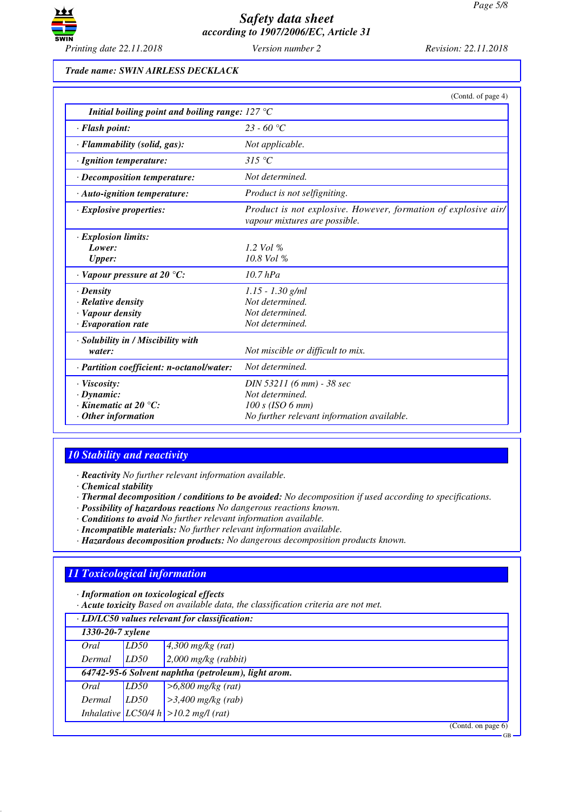

#### *Trade name: SWIN AIRLESS DECKLACK*

|                                                                                                       | (Contd. of page 4)                                                                                               |
|-------------------------------------------------------------------------------------------------------|------------------------------------------------------------------------------------------------------------------|
| Initial boiling point and boiling range: $127^{\circ}$ C                                              |                                                                                                                  |
| · Flash point:                                                                                        | $23 - 60$ °C                                                                                                     |
| · Flammability (solid, gas):                                                                          | Not applicable.                                                                                                  |
| · Ignition temperature:                                                                               | 315 °C                                                                                                           |
| $\cdot$ Decomposition temperature:                                                                    | Not determined.                                                                                                  |
| $\cdot$ Auto-ignition temperature:                                                                    | Product is not selfigniting.                                                                                     |
| $\cdot$ Explosive properties:                                                                         | Product is not explosive. However, formation of explosive air/<br>vapour mixtures are possible.                  |
| · Explosion limits:<br>Lower:<br><b>Upper:</b>                                                        | 1.2 Vol $\%$<br>10.8 Vol %                                                                                       |
| $\cdot$ Vapour pressure at 20 °C:                                                                     | $10.7$ hPa                                                                                                       |
| $\cdot$ Density<br>· Relative density<br>· Vapour density<br>$\cdot$ Evaporation rate                 | $1.15 - 1.30$ g/ml<br>Not determined.<br>Not determined.<br>Not determined.                                      |
| · Solubility in / Miscibility with<br>water:                                                          | Not miscible or difficult to mix.                                                                                |
| · Partition coefficient: n-octanol/water:                                                             | Not determined.                                                                                                  |
| · Viscosity:<br>$\cdot$ Dynamic:<br>$\cdot$ Kinematic at 20 $\degree$ C:<br>$\cdot$ Other information | DIN 53211 (6 mm) - 38 sec<br>Not determined.<br>$100 s$ (ISO 6 mm)<br>No further relevant information available. |

### *10 Stability and reactivity*

*· Reactivity No further relevant information available.*

*· Chemical stability*

- *· Thermal decomposition / conditions to be avoided: No decomposition if used according to specifications.*
- *· Possibility of hazardous reactions No dangerous reactions known.*
- *· Conditions to avoid No further relevant information available.*
- *· Incompatible materials: No further relevant information available.*
- *· Hazardous decomposition products: No dangerous decomposition products known.*

# *11 Toxicological information*

*· Information on toxicological effects*

*· Acute toxicity Based on available data, the classification criteria are not met.*

| · LD/LC50 values relevant for classification: |                                                     |                                           |  |
|-----------------------------------------------|-----------------------------------------------------|-------------------------------------------|--|
|                                               | 1330-20-7 xylene                                    |                                           |  |
| Oral                                          | LD50                                                | $4,300$ mg/kg (rat)                       |  |
| Dermal                                        | LD50                                                | $2,000$ mg/kg (rabbit)                    |  |
|                                               | 64742-95-6 Solvent naphtha (petroleum), light arom. |                                           |  |
| Oral                                          | LD50                                                | $>6,800$ mg/kg (rat)                      |  |
| Dermal                                        | LD50                                                | $>3,400$ mg/kg (rab)                      |  |
|                                               |                                                     | Inhalative $ LCS0/4 h  > 10.2$ mg/l (rat) |  |
|                                               |                                                     | (Contd. on page $6$ )                     |  |

GB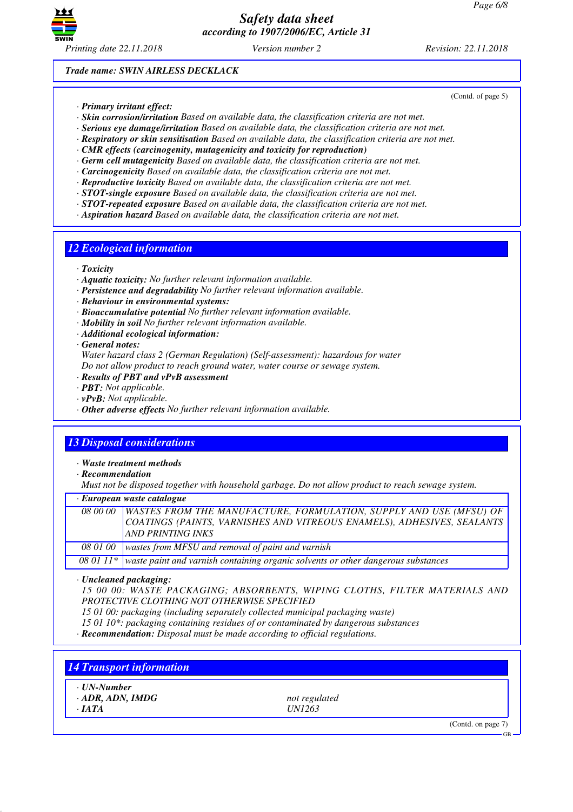

(Contd. of page 5)

*Trade name: SWIN AIRLESS DECKLACK*

- *· Primary irritant effect:*
- *· Skin corrosion/irritation Based on available data, the classification criteria are not met.*
- *· Serious eye damage/irritation Based on available data, the classification criteria are not met.*
- *· Respiratory or skin sensitisation Based on available data, the classification criteria are not met.*
- *· CMR effects (carcinogenity, mutagenicity and toxicity for reproduction)*
- *· Germ cell mutagenicity Based on available data, the classification criteria are not met.*
- *· Carcinogenicity Based on available data, the classification criteria are not met.*
- *· Reproductive toxicity Based on available data, the classification criteria are not met.*
- *· STOT-single exposure Based on available data, the classification criteria are not met.*
- *· STOT-repeated exposure Based on available data, the classification criteria are not met.*
- *· Aspiration hazard Based on available data, the classification criteria are not met.*

### *12 Ecological information*

- *· Toxicity*
- *· Aquatic toxicity: No further relevant information available.*
- *· Persistence and degradability No further relevant information available.*
- *· Behaviour in environmental systems:*
- *· Bioaccumulative potential No further relevant information available.*
- *· Mobility in soil No further relevant information available.*
- *· Additional ecological information:*

*· General notes:*

*Water hazard class 2 (German Regulation) (Self-assessment): hazardous for water Do not allow product to reach ground water, water course or sewage system.*

- *· Results of PBT and vPvB assessment*
- *· PBT: Not applicable.*
- *· vPvB: Not applicable.*
- *· Other adverse effects No further relevant information available.*

# *13 Disposal considerations*

*· Waste treatment methods*

*· Recommendation*

*Must not be disposed together with household garbage. Do not allow product to reach sewage system.*

| $\cdot$ European waste catalogue |                                                                                                                                                                                   |  |  |  |
|----------------------------------|-----------------------------------------------------------------------------------------------------------------------------------------------------------------------------------|--|--|--|
|                                  | 08 00 00 WASTES FROM THE MANUFACTURE, FORMULATION, SUPPLY AND USE (MFSU) OF<br>COATINGS (PAINTS, VARNISHES AND VITREOUS ENAMELS), ADHESIVES, SEALANTS<br><b>AND PRINTING INKS</b> |  |  |  |
|                                  | 08 01 00   wastes from MFSU and removal of paint and varnish                                                                                                                      |  |  |  |
|                                  | 08 01 11* waste paint and varnish containing organic solvents or other dangerous substances                                                                                       |  |  |  |

*· Uncleaned packaging:*

*15 00 00: WASTE PACKAGING; ABSORBENTS, WIPING CLOTHS, FILTER MATERIALS AND PROTECTIVE CLOTHING NOT OTHERWISE SPECIFIED*

*15 01 00: packaging (including separately collected municipal packaging waste)*

*15 01 10\*: packaging containing residues of or contaminated by dangerous substances*

*· Recommendation: Disposal must be made according to official regulations.*

### *14 Transport information*

- *· UN-Number*
- *· ADR, ADN, IMDG not regulated*

*· IATA UN1263*

(Contd. on page 7)

GB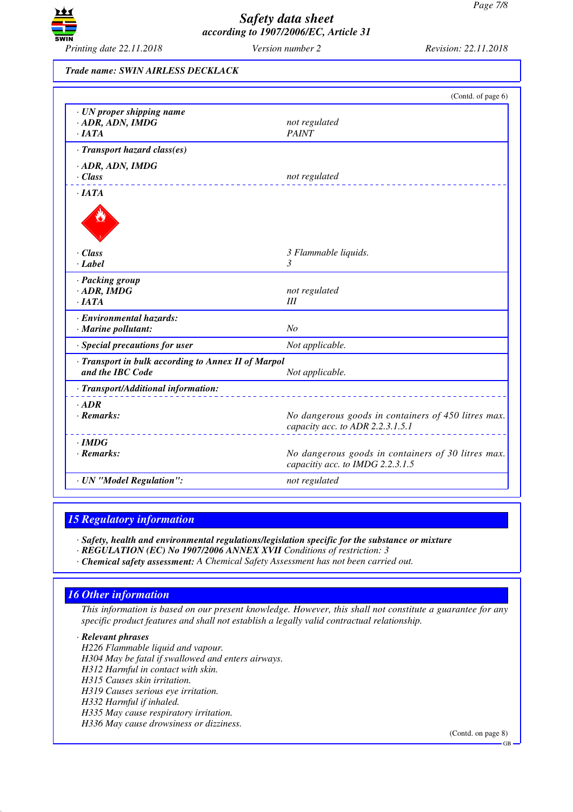

#### *Trade name: SWIN AIRLESS DECKLACK*

|                                                                            | (Contd. of page 6)                                                                      |
|----------------------------------------------------------------------------|-----------------------------------------------------------------------------------------|
| · UN proper shipping name<br>$\cdot$ ADR, ADN, IMDG<br>$\cdot$ <i>IATA</i> | not regulated<br><b>PAINT</b>                                                           |
| · Transport hazard class(es)                                               |                                                                                         |
| · ADR, ADN, IMDG                                                           |                                                                                         |
| $\cdot$ Class                                                              | not regulated                                                                           |
| $\cdot$ JATA                                                               |                                                                                         |
|                                                                            |                                                                                         |
| $\cdot$ Class                                                              | 3 Flammable liquids.                                                                    |
| · Label                                                                    | 3                                                                                       |
| · Packing group                                                            |                                                                                         |
| $\cdot$ ADR, IMDG                                                          | not regulated                                                                           |
| $\cdot$ <i>IATA</i>                                                        | Ш                                                                                       |
| · Environmental hazards:                                                   |                                                                                         |
| · Marine pollutant:                                                        | No                                                                                      |
| · Special precautions for user                                             | Not applicable.                                                                         |
| · Transport in bulk according to Annex II of Marpol                        |                                                                                         |
| and the IBC Code                                                           | Not applicable.                                                                         |
| · Transport/Additional information:                                        |                                                                                         |
| $-$ ADR                                                                    |                                                                                         |
| $\cdot$ Remarks:                                                           | No dangerous goods in containers of 450 litres max.<br>capacity acc. to ADR 2.2.3.1.5.1 |
| $\cdot$ IMDG                                                               |                                                                                         |
| $\cdot$ Remarks:                                                           | No dangerous goods in containers of 30 litres max.<br>capacitiy acc. to IMDG 2.2.3.1.5  |
| · UN "Model Regulation":                                                   | not regulated                                                                           |
|                                                                            |                                                                                         |

### *15 Regulatory information*

*· Safety, health and environmental regulations/legislation specific for the substance or mixture*

- *· REGULATION (EC) No 1907/2006 ANNEX XVII Conditions of restriction: 3*
- *· Chemical safety assessment: A Chemical Safety Assessment has not been carried out.*

# *16 Other information*

*This information is based on our present knowledge. However, this shall not constitute a guarantee for any specific product features and shall not establish a legally valid contractual relationship.*

*· Relevant phrases*

*H226 Flammable liquid and vapour. H304 May be fatal if swallowed and enters airways. H312 Harmful in contact with skin. H315 Causes skin irritation. H319 Causes serious eye irritation. H332 Harmful if inhaled. H335 May cause respiratory irritation. H336 May cause drowsiness or dizziness.*

(Contd. on page 8)

GB